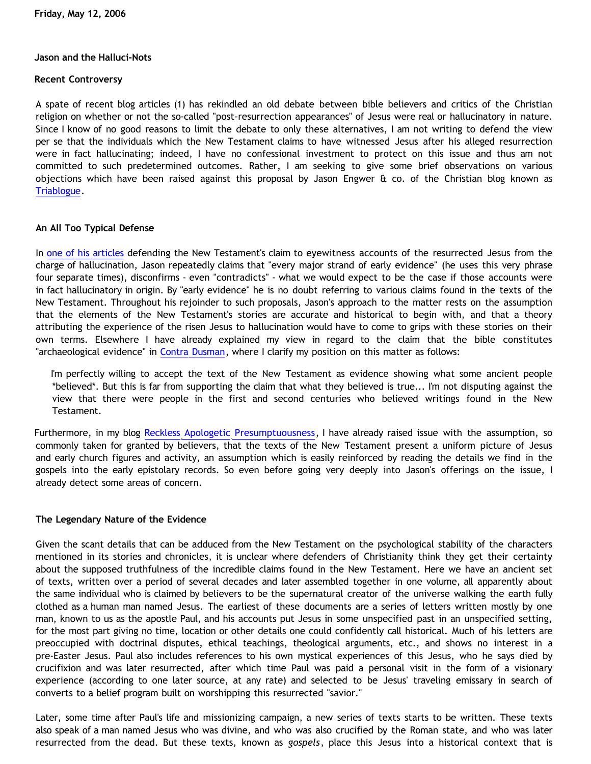### **Jason and the Halluci-Nots**

### **Recent Controversy**

A spate of recent blog articles (1) has rekindled an old debate between bible believers and critics of the Christian religion on whether or not the so-called "post-resurrection appearances" of Jesus were real or hallucinatory in nature. Since I know of no good reasons to limit the debate to only these alternatives, I am not writing to defend the view per se that the individuals which the New Testament claims to have witnessed Jesus after his alleged resurrection were in fact hallucinating; indeed, I have no confessional investment to protect on this issue and thus am not committed to such predetermined outcomes. Rather, I am seeking to give some brief observations on various objections which have been raised against this proposal by Jason Engwer & co. of the Christian blog known as [Triablogue](http://triablogue.blogspot.com/).

## **An All Too Typical Defense**

In [one of his articles](http://triablogue.blogspot.com/2006/05/hallucination-theory-skeptical.html) defending the New Testament's claim to eyewitness accounts of the resurrected Jesus from the charge of hallucination, Jason repeatedly claims that "every major strand of early evidence" (he uses this very phrase four separate times), disconfirms - even "contradicts" - what we would expect to be the case if those accounts were in fact hallucinatory in origin. By "early evidence" he is no doubt referring to various claims found in the texts of the New Testament. Throughout his rejoinder to such proposals, Jason's approach to the matter rests on the assumption that the elements of the New Testament's stories are accurate and historical to begin with, and that a theory attributing the experience of the risen Jesus to hallucination would have to come to grips with these stories on their own terms. Elsewhere I have already explained my view in regard to the claim that the bible constitutes "archaeological evidence" in [Contra Dusman,](http://www.geocities.com/katholon/ContraDusman0106.htm) where I clarify my position on this matter as follows:

I'm perfectly willing to accept the text of the New Testament as evidence showing what some ancient people \*believed\*. But this is far from supporting the claim that what they believed is true... I'm not disputing against the view that there were people in the first and second centuries who believed writings found in the New Testament.

Furthermore, in my blog [Reckless Apologetic Presumptuousness](http://bahnsenburner.blogspot.com/2005/09/reckless-apologetic-presumptuousness.html), I have already raised issue with the assumption, so commonly taken for granted by believers, that the texts of the New Testament present a uniform picture of Jesus and early church figures and activity, an assumption which is easily reinforced by reading the details we find in the gospels into the early epistolary records. So even before going very deeply into Jason's offerings on the issue, I already detect some areas of concern.

## **The Legendary Nature of the Evidence**

Given the scant details that can be adduced from the New Testament on the psychological stability of the characters mentioned in its stories and chronicles, it is unclear where defenders of Christianity think they get their certainty about the supposed truthfulness of the incredible claims found in the New Testament. Here we have an ancient set of texts, written over a period of several decades and later assembled together in one volume, all apparently about the same individual who is claimed by believers to be the supernatural creator of the universe walking the earth fully clothed as a human man named Jesus. The earliest of these documents are a series of letters written mostly by one man, known to us as the apostle Paul, and his accounts put Jesus in some unspecified past in an unspecified setting, for the most part giving no time, location or other details one could confidently call historical. Much of his letters are preoccupied with doctrinal disputes, ethical teachings, theological arguments, etc., and shows no interest in a pre-Easter Jesus. Paul also includes references to his own mystical experiences of this Jesus, who he says died by crucifixion and was later resurrected, after which time Paul was paid a personal visit in the form of a visionary experience (according to one later source, at any rate) and selected to be Jesus' traveling emissary in search of converts to a belief program built on worshipping this resurrected "savior."

Later, some time after Paul's life and missionizing campaign, a new series of texts starts to be written. These texts also speak of a man named Jesus who was divine, and who was also crucified by the Roman state, and who was later resurrected from the dead. But these texts, known as *gospels*, place this Jesus into a historical context that is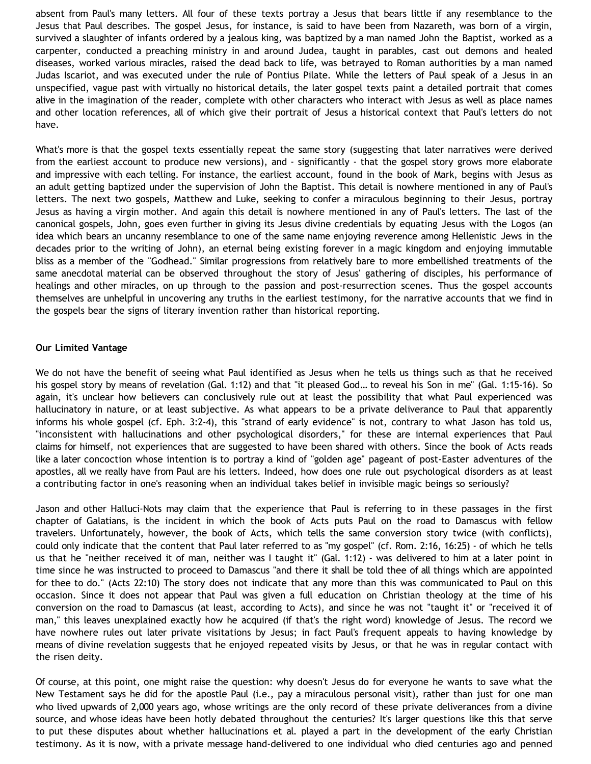absent from Paul's many letters. All four of these texts portray a Jesus that bears little if any resemblance to the Jesus that Paul describes. The gospel Jesus, for instance, is said to have been from Nazareth, was born of a virgin, survived a slaughter of infants ordered by a jealous king, was baptized by a man named John the Baptist, worked as a carpenter, conducted a preaching ministry in and around Judea, taught in parables, cast out demons and healed diseases, worked various miracles, raised the dead back to life, was betrayed to Roman authorities by a man named Judas Iscariot, and was executed under the rule of Pontius Pilate. While the letters of Paul speak of a Jesus in an unspecified, vague past with virtually no historical details, the later gospel texts paint a detailed portrait that comes alive in the imagination of the reader, complete with other characters who interact with Jesus as well as place names and other location references, all of which give their portrait of Jesus a historical context that Paul's letters do not have.

What's more is that the gospel texts essentially repeat the same story (suggesting that later narratives were derived from the earliest account to produce new versions), and - significantly - that the gospel story grows more elaborate and impressive with each telling. For instance, the earliest account, found in the book of Mark, begins with Jesus as an adult getting baptized under the supervision of John the Baptist. This detail is nowhere mentioned in any of Paul's letters. The next two gospels, Matthew and Luke, seeking to confer a miraculous beginning to their Jesus, portray Jesus as having a virgin mother. And again this detail is nowhere mentioned in any of Paul's letters. The last of the canonical gospels, John, goes even further in giving its Jesus divine credentials by equating Jesus with the Logos (an idea which bears an uncanny resemblance to one of the same name enjoying reverence among Hellenistic Jews in the decades prior to the writing of John), an eternal being existing forever in a magic kingdom and enjoying immutable bliss as a member of the "Godhead." Similar progressions from relatively bare to more embellished treatments of the same anecdotal material can be observed throughout the story of Jesus' gathering of disciples, his performance of healings and other miracles, on up through to the passion and post-resurrection scenes. Thus the gospel accounts themselves are unhelpful in uncovering any truths in the earliest testimony, for the narrative accounts that we find in the gospels bear the signs of literary invention rather than historical reporting.

## **Our Limited Vantage**

We do not have the benefit of seeing what Paul identified as Jesus when he tells us things such as that he received his gospel story by means of revelation (Gal. 1:12) and that "it pleased God… to reveal his Son in me" (Gal. 1:15-16). So again, it's unclear how believers can conclusively rule out at least the possibility that what Paul experienced was hallucinatory in nature, or at least subjective. As what appears to be a private deliverance to Paul that apparently informs his whole gospel (cf. Eph. 3:2-4), this "strand of early evidence" is not, contrary to what Jason has told us, "inconsistent with hallucinations and other psychological disorders," for these are internal experiences that Paul claims for himself, not experiences that are suggested to have been shared with others. Since the book of Acts reads like a later concoction whose intention is to portray a kind of "golden age" pageant of post-Easter adventures of the apostles, all we really have from Paul are his letters. Indeed, how does one rule out psychological disorders as at least a contributing factor in one's reasoning when an individual takes belief in invisible magic beings so seriously?

Jason and other Halluci-Nots may claim that the experience that Paul is referring to in these passages in the first chapter of Galatians, is the incident in which the book of Acts puts Paul on the road to Damascus with fellow travelers. Unfortunately, however, the book of Acts, which tells the same conversion story twice (with conflicts), could only indicate that the content that Paul later referred to as "my gospel" (cf. Rom. 2:16, 16:25) - of which he tells us that he "neither received it of man, neither was I taught it" (Gal. 1:12) - was delivered to him at a later point in time since he was instructed to proceed to Damascus "and there it shall be told thee of all things which are appointed for thee to do." (Acts 22:10) The story does not indicate that any more than this was communicated to Paul on this occasion. Since it does not appear that Paul was given a full education on Christian theology at the time of his conversion on the road to Damascus (at least, according to Acts), and since he was not "taught it" or "received it of man," this leaves unexplained exactly how he acquired (if that's the right word) knowledge of Jesus. The record we have nowhere rules out later private visitations by Jesus; in fact Paul's frequent appeals to having knowledge by means of divine revelation suggests that he enjoyed repeated visits by Jesus, or that he was in regular contact with the risen deity.

Of course, at this point, one might raise the question: why doesn't Jesus do for everyone he wants to save what the New Testament says he did for the apostle Paul (i.e., pay a miraculous personal visit), rather than just for one man who lived upwards of 2,000 years ago, whose writings are the only record of these private deliverances from a divine source, and whose ideas have been hotly debated throughout the centuries? It's larger questions like this that serve to put these disputes about whether hallucinations et al. played a part in the development of the early Christian testimony. As it is now, with a private message hand-delivered to one individual who died centuries ago and penned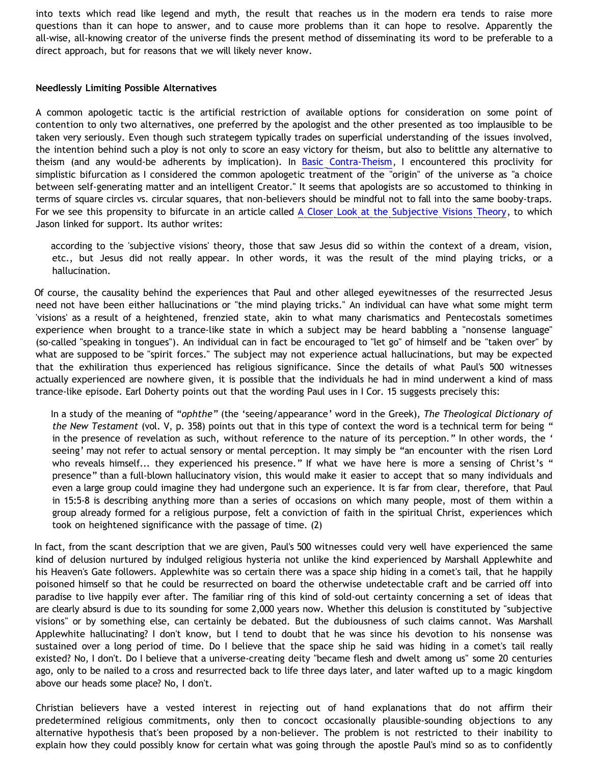into texts which read like legend and myth, the result that reaches us in the modern era tends to raise more questions than it can hope to answer, and to cause more problems than it can hope to resolve. Apparently the all-wise, all-knowing creator of the universe finds the present method of disseminating its word to be preferable to a direct approach, but for reasons that we will likely never know.

## **Needlessly Limiting Possible Alternatives**

A common apologetic tactic is the artificial restriction of available options for consideration on some point of contention to only two alternatives, one preferred by the apologist and the other presented as too implausible to be taken very seriously. Even though such strategem typically trades on superficial understanding of the issues involved, the intention behind such a ploy is not only to score an easy victory for theism, but also to belittle any alternative to theism (and any would-be adherents by implication). In [Basic Contra-Theism](http://bahnsenburner.blogspot.com/2006/05/basic-contra-theism.html), I encountered this proclivity for simplistic bifurcation as I considered the common apologetic treatment of the "origin" of the universe as "a choice between self-generating matter and an intelligent Creator." It seems that apologists are so accustomed to thinking in terms of square circles vs. circular squares, that non-believers should be mindful not to fall into the same booby-traps. For we see this propensity to bifurcate in an article called [A Closer Look at the Subjective Visions Theory](http://www.tektonics.org/guest/wildvis.html), to which Jason linked for support. Its author writes:

according to the 'subjective visions' theory, those that saw Jesus did so within the context of a dream, vision, etc., but Jesus did not really appear. In other words, it was the result of the mind playing tricks, or a hallucination.

Of course, the causality behind the experiences that Paul and other alleged eyewitnesses of the resurrected Jesus need not have been either hallucinations or "the mind playing tricks." An individual can have what some might term 'visions' as a result of a heightened, frenzied state, akin to what many charismatics and Pentecostals sometimes experience when brought to a trance-like state in which a subject may be heard babbling a "nonsense language" (so-called "speaking in tongues"). An individual can in fact be encouraged to "let go" of himself and be "taken over" by what are supposed to be "spirit forces." The subject may not experience actual hallucinations, but may be expected that the exhiliration thus experienced has religious significance. Since the details of what Paul's 500 witnesses actually experienced are nowhere given, it is possible that the individuals he had in mind underwent a kind of mass trance-like episode. Earl Doherty points out that the wording Paul uses in I Cor. 15 suggests precisely this:

In a study of the meaning of "*ophthe*" (the 'seeing/appearance' word in the Greek), *The Theological Dictionary of the New Testament* (vol. V, p. 358) points out that in this type of context the word is a technical term for being " in the presence of revelation as such, without reference to the nature of its perception." In other words, the ' seeing' may not refer to actual sensory or mental perception. It may simply be "an encounter with the risen Lord who reveals himself... they experienced his presence." If what we have here is more a sensing of Christ's " presence" than a full-blown hallucinatory vision, this would make it easier to accept that so many individuals and even a large group could imagine they had undergone such an experience. It is far from clear, therefore, that Paul in 15:5-8 is describing anything more than a series of occasions on which many people, most of them within a group already formed for a religious purpose, felt a conviction of faith in the spiritual Christ, experiences which took on heightened significance with the passage of time. (2)

In fact, from the scant description that we are given, Paul's 500 witnesses could very well have experienced the same kind of delusion nurtured by indulged religious hysteria not unlike the kind experienced by Marshall Applewhite and his Heaven's Gate followers. Applewhite was so certain there was a space ship hiding in a comet's tail, that he happily poisoned himself so that he could be resurrected on board the otherwise undetectable craft and be carried off into paradise to live happily ever after. The familiar ring of this kind of sold-out certainty concerning a set of ideas that are clearly absurd is due to its sounding for some 2,000 years now. Whether this delusion is constituted by "subjective visions" or by something else, can certainly be debated. But the dubiousness of such claims cannot. Was Marshall Applewhite hallucinating? I don't know, but I tend to doubt that he was since his devotion to his nonsense was sustained over a long period of time. Do I believe that the space ship he said was hiding in a comet's tail really existed? No, I don't. Do I believe that a universe-creating deity "became flesh and dwelt among us" some 20 centuries ago, only to be nailed to a cross and resurrected back to life three days later, and later wafted up to a magic kingdom above our heads some place? No, I don't.

Christian believers have a vested interest in rejecting out of hand explanations that do not affirm their predetermined religious commitments, only then to concoct occasionally plausible-sounding objections to any alternative hypothesis that's been proposed by a non-believer. The problem is not restricted to their inability to explain how they could possibly know for certain what was going through the apostle Paul's mind so as to confidently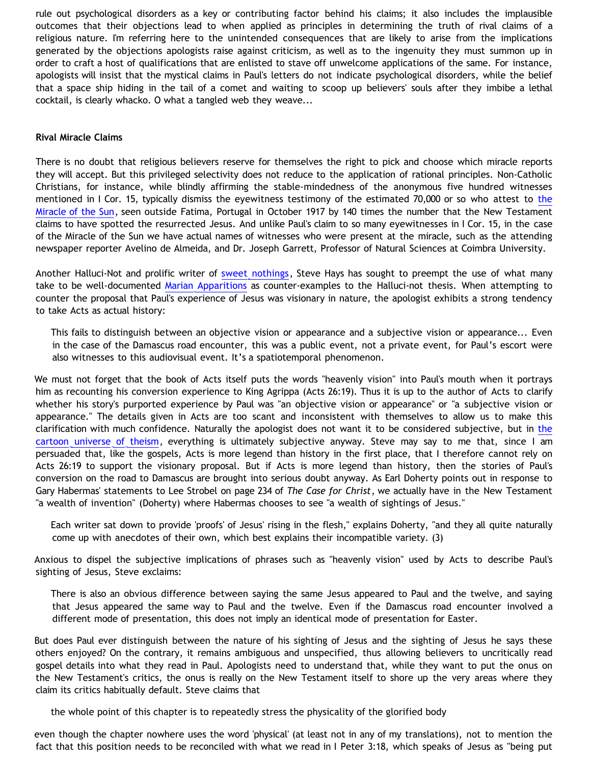rule out psychological disorders as a key or contributing factor behind his claims; it also includes the implausible outcomes that their objections lead to when applied as principles in determining the truth of rival claims of a religious nature. I'm referring here to the unintended consequences that are likely to arise from the implications generated by the objections apologists raise against criticism, as well as to the ingenuity they must summon up in order to craft a host of qualifications that are enlisted to stave off unwelcome applications of the same. For instance, apologists will insist that the mystical claims in Paul's letters do not indicate psychological disorders, while the belief that a space ship hiding in the tail of a comet and waiting to scoop up believers' souls after they imbibe a lethal cocktail, is clearly whacko. O what a tangled web they weave...

#### **Rival Miracle Claims**

There is no doubt that religious believers reserve for themselves the right to pick and choose which miracle reports they will accept. But this privileged selectivity does not reduce to the application of rational principles. Non-Catholic Christians, for instance, while blindly affirming the stable-mindedness of the anonymous five hundred witnesses mentioned in I Cor. 15, typically dismiss [the](http://en.wikipedia.org/wiki/The_) eyewitness testimony of the estimated 70,000 or so who attest to the [Miracle of the Sun](http://en.wikipedia.org/wiki/The_), seen outside Fatima, Portugal in October 1917 by 140 times the number that the New Testament claims to have spotted the resurrected Jesus. And unlike Paul's claim to so many eyewitnesses in I Cor. 15, in the case of the Miracle of the Sun we have actual names of witnesses who were present at the miracle, such as the attending newspaper reporter Avelino de Almeida, and Dr. Joseph Garrett, Professor of Natural Sciences at Coimbra University.

Another Halluci-Not and prolific writer of [sweet nothings](http://www.reformed.plus.com/triablogue/hays_topical_index.html), Steve Hays has sought to preempt the use of what many take to be well-documented [Marian Apparitions](http://triablogue.blogspot.com/2006/05/marian-apparitions.html) as counter-examples to the Halluci-not thesis. When attempting to counter the proposal that Paul's experience of Jesus was visionary in nature, the apologist exhibits a strong tendency to take Acts as actual history:

This fails to distinguish between an objective vision or appearance and a subjective vision or appearance... Even in the case of the Damascus road encounter, this was a public event, not a private event, for Paul's escort were also witnesses to this audiovisual event. It's a spatiotemporal phenomenon.

We must not forget that the book of Acts itself puts the words "heavenly vision" into Paul's mouth when it portrays him as recounting his conversion experience to King Agrippa (Acts 26:19). Thus it is up to the author of Acts to clarify whether his story's purported experience by Paul was "an objective vision or appearance" or "a subjective vision or appearance." The details given in Acts are too scant and inconsistent with themselves to allow us to make this clarification with much confidence. Naturally the apologist does not want it to be considered subjective, but in [the](http://www.strongatheism.net/library/atheology/cartoon_universe_of_theism/) [cartoon universe of theism](http://www.strongatheism.net/library/atheology/cartoon_universe_of_theism/), everything is ultimately subjective anyway. Steve may say to me that, since I am persuaded that, like the gospels, Acts is more legend than history in the first place, that I therefore cannot rely on Acts 26:19 to support the visionary proposal. But if Acts is more legend than history, then the stories of Paul's conversion on the road to Damascus are brought into serious doubt anyway. As Earl Doherty points out in response to Gary Habermas' statements to Lee Strobel on page 234 of *The Case for Christ*, we actually have in the New Testament "a wealth of invention" (Doherty) where Habermas chooses to see "a wealth of sightings of Jesus."

Each writer sat down to provide 'proofs' of Jesus' rising in the flesh," explains Doherty, "and they all quite naturally come up with anecdotes of their own, which best explains their incompatible variety. (3)

Anxious to dispel the subjective implications of phrases such as "heavenly vision" used by Acts to describe Paul's sighting of Jesus, Steve exclaims:

There is also an obvious difference between saying the same Jesus appeared to Paul and the twelve, and saying that Jesus appeared the same way to Paul and the twelve. Even if the Damascus road encounter involved a different mode of presentation, this does not imply an identical mode of presentation for Easter.

But does Paul ever distinguish between the nature of his sighting of Jesus and the sighting of Jesus he says these others enjoyed? On the contrary, it remains ambiguous and unspecified, thus allowing believers to uncritically read gospel details into what they read in Paul. Apologists need to understand that, while they want to put the onus on the New Testament's critics, the onus is really on the New Testament itself to shore up the very areas where they claim its critics habitually default. Steve claims that

the whole point of this chapter is to repeatedly stress the physicality of the glorified body

even though the chapter nowhere uses the word 'physical' (at least not in any of my translations), not to mention the fact that this position needs to be reconciled with what we read in I Peter 3:18, which speaks of Jesus as "being put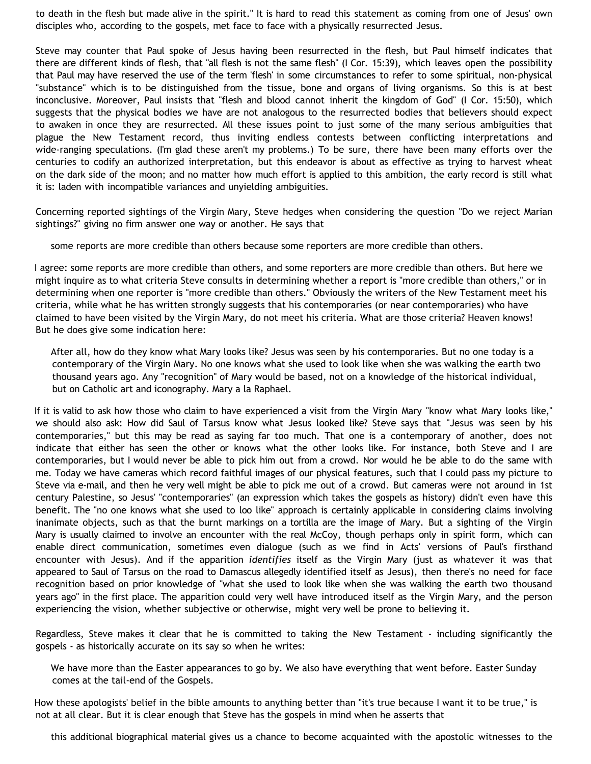to death in the flesh but made alive in the spirit." It is hard to read this statement as coming from one of Jesus' own disciples who, according to the gospels, met face to face with a physically resurrected Jesus.

Steve may counter that Paul spoke of Jesus having been resurrected in the flesh, but Paul himself indicates that there are different kinds of flesh, that "all flesh is not the same flesh" (I Cor. 15:39), which leaves open the possibility that Paul may have reserved the use of the term 'flesh' in some circumstances to refer to some spiritual, non-physical "substance" which is to be distinguished from the tissue, bone and organs of living organisms. So this is at best inconclusive. Moreover, Paul insists that "flesh and blood cannot inherit the kingdom of God" (I Cor. 15:50), which suggests that the physical bodies we have are not analogous to the resurrected bodies that believers should expect to awaken in once they are resurrected. All these issues point to just some of the many serious ambiguities that plague the New Testament record, thus inviting endless contests between conflicting interpretations and wide-ranging speculations. (I'm glad these aren't my problems.) To be sure, there have been many efforts over the centuries to codify an authorized interpretation, but this endeavor is about as effective as trying to harvest wheat on the dark side of the moon; and no matter how much effort is applied to this ambition, the early record is still what it is: laden with incompatible variances and unyielding ambiguities.

Concerning reported sightings of the Virgin Mary, Steve hedges when considering the question "Do we reject Marian sightings?" giving no firm answer one way or another. He says that

some reports are more credible than others because some reporters are more credible than others.

I agree: some reports are more credible than others, and some reporters are more credible than others. But here we might inquire as to what criteria Steve consults in determining whether a report is "more credible than others," or in determining when one reporter is "more credible than others." Obviously the writers of the New Testament meet his criteria, while what he has written strongly suggests that his contemporaries (or near contemporaries) who have claimed to have been visited by the Virgin Mary, do not meet his criteria. What are those criteria? Heaven knows! But he does give some indication here:

After all, how do they know what Mary looks like? Jesus was seen by his contemporaries. But no one today is a contemporary of the Virgin Mary. No one knows what she used to look like when she was walking the earth two thousand years ago. Any "recognition" of Mary would be based, not on a knowledge of the historical individual, but on Catholic art and iconography. Mary a la Raphael.

If it is valid to ask how those who claim to have experienced a visit from the Virgin Mary "know what Mary looks like," we should also ask: How did Saul of Tarsus know what Jesus looked like? Steve says that "Jesus was seen by his contemporaries," but this may be read as saying far too much. That one is a contemporary of another, does not indicate that either has seen the other or knows what the other looks like. For instance, both Steve and I are contemporaries, but I would never be able to pick him out from a crowd. Nor would he be able to do the same with me. Today we have cameras which record faithful images of our physical features, such that I could pass my picture to Steve via e-mail, and then he very well might be able to pick me out of a crowd. But cameras were not around in 1st century Palestine, so Jesus' "contemporaries" (an expression which takes the gospels as history) didn't even have this benefit. The "no one knows what she used to loo like" approach is certainly applicable in considering claims involving inanimate objects, such as that the burnt markings on a tortilla are the image of Mary. But a sighting of the Virgin Mary is usually claimed to involve an encounter with the real McCoy, though perhaps only in spirit form, which can enable direct communication, sometimes even dialogue (such as we find in Acts' versions of Paul's firsthand encounter with Jesus). And if the apparition *identifies* itself as the Virgin Mary (just as whatever it was that appeared to Saul of Tarsus on the road to Damascus allegedly identified itself as Jesus), then there's no need for face recognition based on prior knowledge of "what she used to look like when she was walking the earth two thousand years ago" in the first place. The apparition could very well have introduced itself as the Virgin Mary, and the person experiencing the vision, whether subjective or otherwise, might very well be prone to believing it.

Regardless, Steve makes it clear that he is committed to taking the New Testament - including significantly the gospels - as historically accurate on its say so when he writes:

We have more than the Easter appearances to go by. We also have everything that went before. Easter Sunday comes at the tail-end of the Gospels.

How these apologists' belief in the bible amounts to anything better than "it's true because I want it to be true," is not at all clear. But it is clear enough that Steve has the gospels in mind when he asserts that

this additional biographical material gives us a chance to become acquainted with the apostolic witnesses to the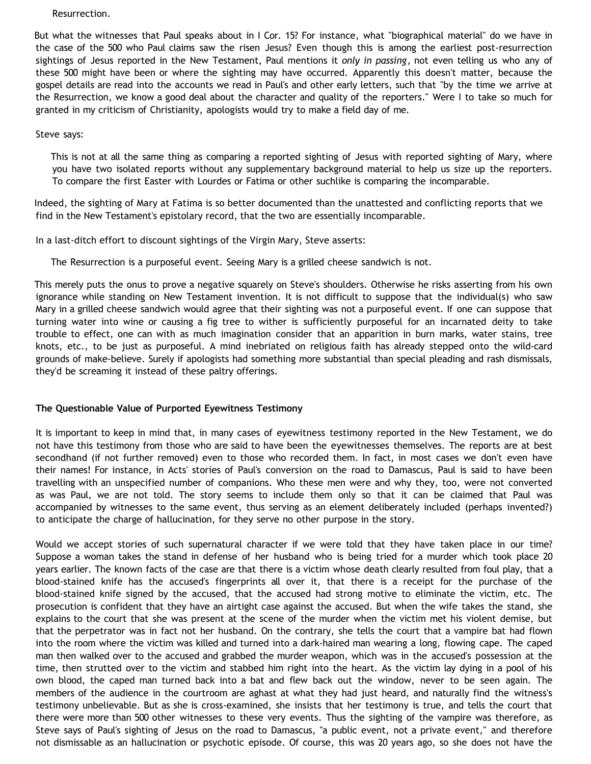Resurrection.

But what the witnesses that Paul speaks about in I Cor. 15? For instance, what "biographical material" do we have in the case of the 500 who Paul claims saw the risen Jesus? Even though this is among the earliest post-resurrection sightings of Jesus reported in the New Testament, Paul mentions it *only in passing*, not even telling us who any of these 500 might have been or where the sighting may have occurred. Apparently this doesn't matter, because the gospel details are read into the accounts we read in Paul's and other early letters, such that "by the time we arrive at the Resurrection, we know a good deal about the character and quality of the reporters." Were I to take so much for granted in my criticism of Christianity, apologists would try to make a field day of me.

Steve says:

This is not at all the same thing as comparing a reported sighting of Jesus with reported sighting of Mary, where you have two isolated reports without any supplementary background material to help us size up the reporters. To compare the first Easter with Lourdes or Fatima or other suchlike is comparing the incomparable.

Indeed, the sighting of Mary at Fatima is so better documented than the unattested and conflicting reports that we find in the New Testament's epistolary record, that the two are essentially incomparable.

In a last-ditch effort to discount sightings of the Virgin Mary, Steve asserts:

The Resurrection is a purposeful event. Seeing Mary is a grilled cheese sandwich is not.

This merely puts the onus to prove a negative squarely on Steve's shoulders. Otherwise he risks asserting from his own ignorance while standing on New Testament invention. It is not difficult to suppose that the individual(s) who saw Mary in a grilled cheese sandwich would agree that their sighting was not a purposeful event. If one can suppose that turning water into wine or causing a fig tree to wither is sufficiently purposeful for an incarnated deity to take trouble to effect, one can with as much imagination consider that an apparition in burn marks, water stains, tree knots, etc., to be just as purposeful. A mind inebriated on religious faith has already stepped onto the wild-card grounds of make-believe. Surely if apologists had something more substantial than special pleading and rash dismissals, they'd be screaming it instead of these paltry offerings.

## **The Questionable Value of Purported Eyewitness Testimony**

It is important to keep in mind that, in many cases of eyewitness testimony reported in the New Testament, we do not have this testimony from those who are said to have been the eyewitnesses themselves. The reports are at best secondhand (if not further removed) even to those who recorded them. In fact, in most cases we don't even have their names! For instance, in Acts' stories of Paul's conversion on the road to Damascus, Paul is said to have been travelling with an unspecified number of companions. Who these men were and why they, too, were not converted as was Paul, we are not told. The story seems to include them only so that it can be claimed that Paul was accompanied by witnesses to the same event, thus serving as an element deliberately included (perhaps invented?) to anticipate the charge of hallucination, for they serve no other purpose in the story.

Would we accept stories of such supernatural character if we were told that they have taken place in our time? Suppose a woman takes the stand in defense of her husband who is being tried for a murder which took place 20 years earlier. The known facts of the case are that there is a victim whose death clearly resulted from foul play, that a blood-stained knife has the accused's fingerprints all over it, that there is a receipt for the purchase of the blood-stained knife signed by the accused, that the accused had strong motive to eliminate the victim, etc. The prosecution is confident that they have an airtight case against the accused. But when the wife takes the stand, she explains to the court that she was present at the scene of the murder when the victim met his violent demise, but that the perpetrator was in fact not her husband. On the contrary, she tells the court that a vampire bat had flown into the room where the victim was killed and turned into a dark-haired man wearing a long, flowing cape. The caped man then walked over to the accused and grabbed the murder weapon, which was in the accused's possession at the time, then strutted over to the victim and stabbed him right into the heart. As the victim lay dying in a pool of his own blood, the caped man turned back into a bat and flew back out the window, never to be seen again. The members of the audience in the courtroom are aghast at what they had just heard, and naturally find the witness's testimony unbelievable. But as she is cross-examined, she insists that her testimony is true, and tells the court that there were more than 500 other witnesses to these very events. Thus the sighting of the vampire was therefore, as Steve says of Paul's sighting of Jesus on the road to Damascus, "a public event, not a private event," and therefore not dismissable as an hallucination or psychotic episode. Of course, this was 20 years ago, so she does not have the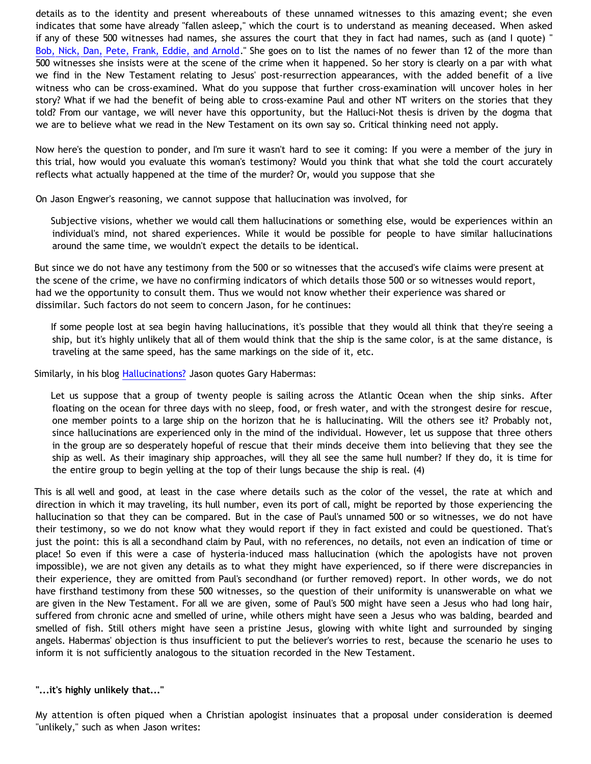details as to the identity and present whereabouts of these unnamed witnesses to this amazing event; she even indicates that some have already "fallen asleep," which the court is to understand as meaning deceased. When asked if any of these 500 witnesses had names, she assures the court that they in fact had names, such as (and I quote) " [Bob, Nick, Dan, Pete, Frank, Eddie, and Arnold.](http://presstheantithesis.blogspot.com/2006/03/your-post-stunk-when-christian-you.html)" She goes on to list the names of no fewer than 12 of the more than 500 witnesses she insists were at the scene of the crime when it happened. So her story is clearly on a par with what we find in the New Testament relating to Jesus' post-resurrection appearances, with the added benefit of a live witness who can be cross-examined. What do you suppose that further cross-examination will uncover holes in her story? What if we had the benefit of being able to cross-examine Paul and other NT writers on the stories that they told? From our vantage, we will never have this opportunity, but the Halluci-Not thesis is driven by the dogma that we are to believe what we read in the New Testament on its own say so. Critical thinking need not apply.

Now here's the question to ponder, and I'm sure it wasn't hard to see it coming: If you were a member of the jury in this trial, how would you evaluate this woman's testimony? Would you think that what she told the court accurately reflects what actually happened at the time of the murder? Or, would you suppose that she

On Jason Engwer's reasoning, we cannot suppose that hallucination was involved, for

Subjective visions, whether we would call them hallucinations or something else, would be experiences within an individual's mind, not shared experiences. While it would be possible for people to have similar hallucinations around the same time, we wouldn't expect the details to be identical.

But since we do not have any testimony from the 500 or so witnesses that the accused's wife claims were present at the scene of the crime, we have no confirming indicators of which details those 500 or so witnesses would report, had we the opportunity to consult them. Thus we would not know whether their experience was shared or dissimilar. Such factors do not seem to concern Jason, for he continues:

If some people lost at sea begin having hallucinations, it's possible that they would all think that they're seeing a ship, but it's highly unlikely that all of them would think that the ship is the same color, is at the same distance, is traveling at the same speed, has the same markings on the side of it, etc.

Similarly, in his blog [Hallucinations?](http://triablogue.blogspot.com/2006/04/hallucinations.html) Jason quotes Gary Habermas:

Let us suppose that a group of twenty people is sailing across the Atlantic Ocean when the ship sinks. After floating on the ocean for three days with no sleep, food, or fresh water, and with the strongest desire for rescue, one member points to a large ship on the horizon that he is hallucinating. Will the others see it? Probably not, since hallucinations are experienced only in the mind of the individual. However, let us suppose that three others in the group are so desperately hopeful of rescue that their minds deceive them into believing that they see the ship as well. As their imaginary ship approaches, will they all see the same hull number? If they do, it is time for the entire group to begin yelling at the top of their lungs because the ship is real. (4)

This is all well and good, at least in the case where details such as the color of the vessel, the rate at which and direction in which it may traveling, its hull number, even its port of call, might be reported by those experiencing the hallucination so that they can be compared. But in the case of Paul's unnamed 500 or so witnesses, we do not have their testimony, so we do not know what they would report if they in fact existed and could be questioned. That's just the point: this is all a secondhand claim by Paul, with no references, no details, not even an indication of time or place! So even if this were a case of hysteria-induced mass hallucination (which the apologists have not proven impossible), we are not given any details as to what they might have experienced, so if there were discrepancies in their experience, they are omitted from Paul's secondhand (or further removed) report. In other words, we do not have firsthand testimony from these 500 witnesses, so the question of their uniformity is unanswerable on what we are given in the New Testament. For all we are given, some of Paul's 500 might have seen a Jesus who had long hair, suffered from chronic acne and smelled of urine, while others might have seen a Jesus who was balding, bearded and smelled of fish. Still others might have seen a pristine Jesus, glowing with white light and surrounded by singing angels. Habermas' objection is thus insufficient to put the believer's worries to rest, because the scenario he uses to inform it is not sufficiently analogous to the situation recorded in the New Testament.

# **"...it's highly unlikely that..."**

My attention is often piqued when a Christian apologist insinuates that a proposal under consideration is deemed "unlikely," such as when Jason writes: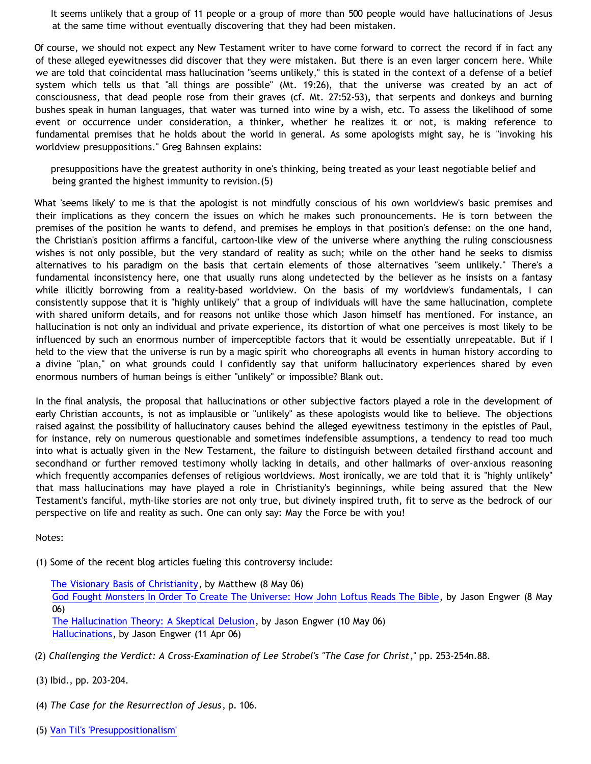It seems unlikely that a group of 11 people or a group of more than 500 people would have hallucinations of Jesus at the same time without eventually discovering that they had been mistaken.

Of course, we should not expect any New Testament writer to have come forward to correct the record if in fact any of these alleged eyewitnesses did discover that they were mistaken. But there is an even larger concern here. While we are told that coincidental mass hallucination "seems unlikely," this is stated in the context of a defense of a belief system which tells us that "all things are possible" (Mt. 19:26), that the universe was created by an act of consciousness, that dead people rose from their graves (cf. Mt. 27:52-53), that serpents and donkeys and burning bushes speak in human languages, that water was turned into wine by a wish, etc. To assess the likelihood of some event or occurrence under consideration, a thinker, whether he realizes it or not, is making reference to fundamental premises that he holds about the world in general. As some apologists might say, he is "invoking his worldview presuppositions." Greg Bahnsen explains:

presuppositions have the greatest authority in one's thinking, being treated as your least negotiable belief and being granted the highest immunity to revision.(5)

What 'seems likely' to me is that the apologist is not mindfully conscious of his own worldview's basic premises and their implications as they concern the issues on which he makes such pronouncements. He is torn between the premises of the position he wants to defend, and premises he employs in that position's defense: on the one hand, the Christian's position affirms a fanciful, cartoon-like view of the universe where anything the ruling consciousness wishes is not only possible, but the very standard of reality as such; while on the other hand he seeks to dismiss alternatives to his paradigm on the basis that certain elements of those alternatives "seem unlikely." There's a fundamental inconsistency here, one that usually runs along undetected by the believer as he insists on a fantasy while illicitly borrowing from a reality-based worldview. On the basis of my worldview's fundamentals, I can consistently suppose that it is "highly unlikely" that a group of individuals will have the same hallucination, complete with shared uniform details, and for reasons not unlike those which Jason himself has mentioned. For instance, an hallucination is not only an individual and private experience, its distortion of what one perceives is most likely to be influenced by such an enormous number of imperceptible factors that it would be essentially unrepeatable. But if I held to the view that the universe is run by a magic spirit who choreographs all events in human history according to a divine "plan," on what grounds could I confidently say that uniform hallucinatory experiences shared by even enormous numbers of human beings is either "unlikely" or impossible? Blank out.

In the final analysis, the proposal that hallucinations or other subjective factors played a role in the development of early Christian accounts, is not as implausible or "unlikely" as these apologists would like to believe. The objections raised against the possibility of hallucinatory causes behind the alleged eyewitness testimony in the epistles of Paul, for instance, rely on numerous questionable and sometimes indefensible assumptions, a tendency to read too much into what is actually given in the New Testament, the failure to distinguish between detailed firsthand account and secondhand or further removed testimony wholly lacking in details, and other hallmarks of over-anxious reasoning which frequently accompanies defenses of religious worldviews. Most ironically, we are told that it is "highly unlikely" that mass hallucinations may have played a role in Christianity's beginnings, while being assured that the New Testament's fanciful, myth-like stories are not only true, but divinely inspired truth, fit to serve as the bedrock of our perspective on life and reality as such. One can only say: May the Force be with you!

Notes:

(1) Some of the recent blog articles fueling this controversy include:

[The Visionary Basis of Christianity](http://debunkingchristianity.blogspot.com/2006/05/visionary-basis-of-christianity.html), by Matthew (8 May 06) [God Fought Monsters In Order To Create The Universe: How John Loftus Reads The Bible,](http://triablogue.blogspot.com/2006/05/god-fought-monsters-in-order-to-create.html) by Jason Engwer (8 May 06) [The Hallucination Theory: A Skeptical Delusion](http://triablogue.blogspot.com/2006/05/hallucination-theory-skeptical.html), by Jason Engwer (10 May 06)

[Hallucinations,](http://triablogue.blogspot.com/2006/04/hallucinations.html) by Jason Engwer (11 Apr 06)

- (2) *Challenging the Verdict: A Cross-Examination of Lee Strobel's "The Case for Christ*," pp. 253-254n.88.
- (3) Ibid., pp. 203-204.
- (4) *The Case for the Resurrection of Jesus*, p. 106.
- (5) [Van Til's 'Presuppositionalism'](http://www.cmfnow.com/articles/pa195.htm)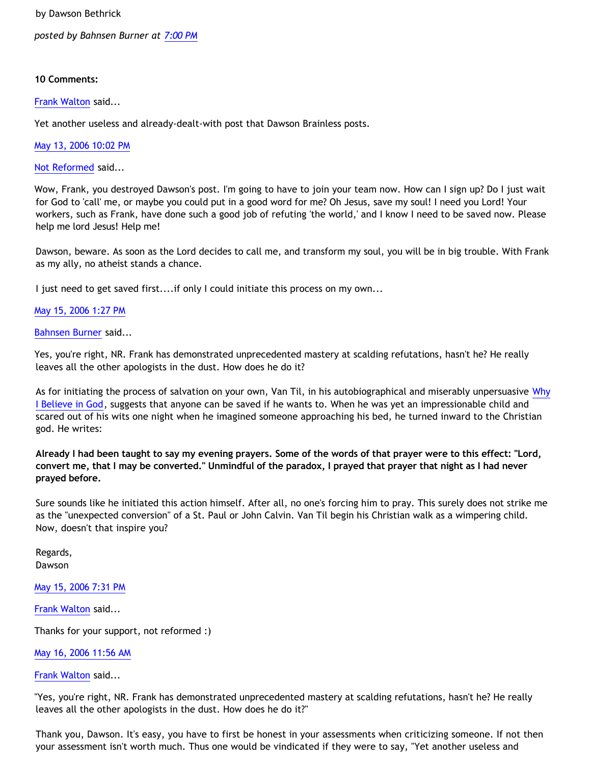by Dawson Bethrick

*posted by Bahnsen Burner at [7:00 PM](http://bahnsenburner.blogspot.com/2006/05/jason-and-halluci-nots.html)*

## **10 Comments:**

[Frank Walton](http://www.blogger.com/profile/10663796) said...

Yet another useless and already-dealt-with post that Dawson Brainless posts.

[May 13, 2006 10:02 PM](http://bahnsenburner.blogspot.com/2006/05/114758297369493548)

[Not Reformed](http://www.blogger.com/profile/8159639) said...

Wow, Frank, you destroyed Dawson's post. I'm going to have to join your team now. How can I sign up? Do I just wait for God to 'call' me, or maybe you could put in a good word for me? Oh Jesus, save my soul! I need you Lord! Your workers, such as Frank, have done such a good job of refuting 'the world,' and I know I need to be saved now. Please help me lord Jesus! Help me!

Dawson, beware. As soon as the Lord decides to call me, and transform my soul, you will be in big trouble. With Frank as my ally, no atheist stands a chance.

I just need to get saved first....if only I could initiate this process on my own...

# [May 15, 2006 1:27 PM](http://bahnsenburner.blogspot.com/2006/05/114772484916674603)

## [Bahnsen Burner](http://www.blogger.com/profile/7766918) said...

Yes, you're right, NR. Frank has demonstrated unprecedented mastery at scalding refutations, hasn't he? He really leaves all the other apologists in the dust. How does he do it?

As for initiating the process of salvation on your own, Van Til, in his autobiographical and miserably unpersuasive [Why](http://www.reformed.org/apologetics/why_I_believe_cvt.html) [I Believe in God,](http://www.reformed.org/apologetics/why_I_believe_cvt.html) suggests that anyone can be saved if he wants to. When he was yet an impressionable child and scared out of his wits one night when he imagined someone approaching his bed, he turned inward to the Christian god. He writes:

**Already I had been taught to say my evening prayers. Some of the words of that prayer were to this effect: "Lord, convert me, that I may be converted." Unmindful of the paradox, I prayed that prayer that night as I had never prayed before.**

Sure sounds like he initiated this action himself. After all, no one's forcing him to pray. This surely does not strike me as the "unexpected conversion" of a St. Paul or John Calvin. Van Til begin his Christian walk as a wimpering child. Now, doesn't that inspire you?

Regards, Dawson

[May 15, 2006 7:31 PM](http://bahnsenburner.blogspot.com/2006/05/114774666775907327)

[Frank Walton](http://www.blogger.com/profile/10663796) said...

Thanks for your support, not reformed :)

[May 16, 2006 11:56 AM](http://bahnsenburner.blogspot.com/2006/05/114780578526645977)

[Frank Walton](http://www.blogger.com/profile/10663796) said...

"Yes, you're right, NR. Frank has demonstrated unprecedented mastery at scalding refutations, hasn't he? He really leaves all the other apologists in the dust. How does he do it?"

Thank you, Dawson. It's easy, you have to first be honest in your assessments when criticizing someone. If not then your assessment isn't worth much. Thus one would be vindicated if they were to say, "Yet another useless and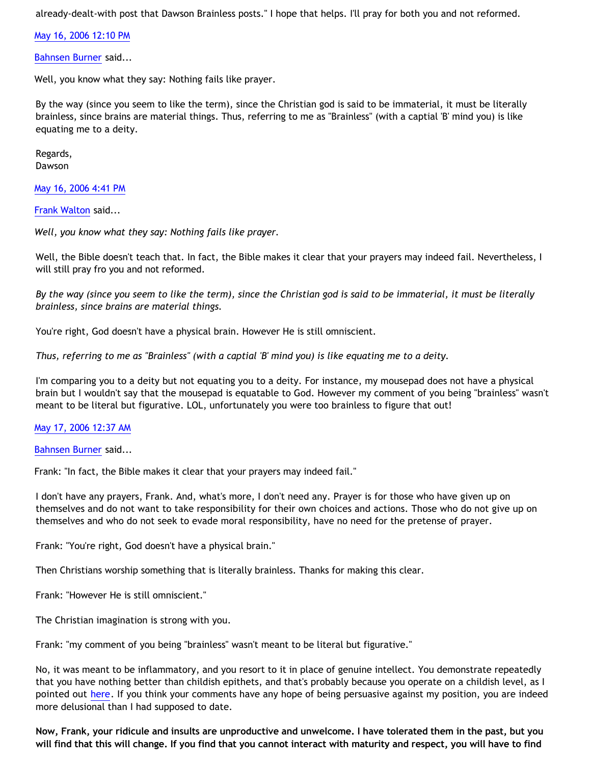already-dealt-with post that Dawson Brainless posts." I hope that helps. I'll pray for both you and not reformed.

[May 16, 2006 12:10 PM](http://bahnsenburner.blogspot.com/2006/05/114780665233116616)

[Bahnsen Burner](http://www.blogger.com/profile/7766918) said...

Well, you know what they say: Nothing fails like prayer.

By the way (since you seem to like the term), since the Christian god is said to be immaterial, it must be literally brainless, since brains are material things. Thus, referring to me as "Brainless" (with a captial 'B' mind you) is like equating me to a deity.

Regards, Dawson

[May 16, 2006 4:41 PM](http://bahnsenburner.blogspot.com/2006/05/114782291257251081)

[Frank Walton](http://www.blogger.com/profile/10663796) said...

*Well, you know what they say: Nothing fails like prayer.*

Well, the Bible doesn't teach that. In fact, the Bible makes it clear that your prayers may indeed fail. Nevertheless, I will still pray fro you and not reformed.

*By the way (since you seem to like the term), since the Christian god is said to be immaterial, it must be literally brainless, since brains are material things.*

You're right, God doesn't have a physical brain. However He is still omniscient.

*Thus, referring to me as "Brainless" (with a captial 'B' mind you) is like equating me to a deity.*

I'm comparing you to a deity but not equating you to a deity. For instance, my mousepad does not have a physical brain but I wouldn't say that the mousepad is equatable to God. However my comment of you being "brainless" wasn't meant to be literal but figurative. LOL, unfortunately you were too brainless to figure that out!

[May 17, 2006 12:37 AM](http://bahnsenburner.blogspot.com/2006/05/114785145287183357)

[Bahnsen Burner](http://www.blogger.com/profile/7766918) said...

Frank: "In fact, the Bible makes it clear that your prayers may indeed fail."

I don't have any prayers, Frank. And, what's more, I don't need any. Prayer is for those who have given up on themselves and do not want to take responsibility for their own choices and actions. Those who do not give up on themselves and who do not seek to evade moral responsibility, have no need for the pretense of prayer.

Frank: "You're right, God doesn't have a physical brain."

Then Christians worship something that is literally brainless. Thanks for making this clear.

Frank: "However He is still omniscient."

The Christian imagination is strong with you.

Frank: "my comment of you being "brainless" wasn't meant to be literal but figurative."

No, it was meant to be inflammatory, and you resort to it in place of genuine intellect. You demonstrate repeatedly that you have nothing better than childish epithets, and that's probably because you operate on a childish level, as I pointed out [here.](http://bahnsenburner.blogspot.com/2005/12/with-minds-of-children.html) If you think your comments have any hope of being persuasive against my position, you are indeed more delusional than I had supposed to date.

**Now, Frank, your ridicule and insults are unproductive and unwelcome. I have tolerated them in the past, but you will find that this will change. If you find that you cannot interact with maturity and respect, you will have to find**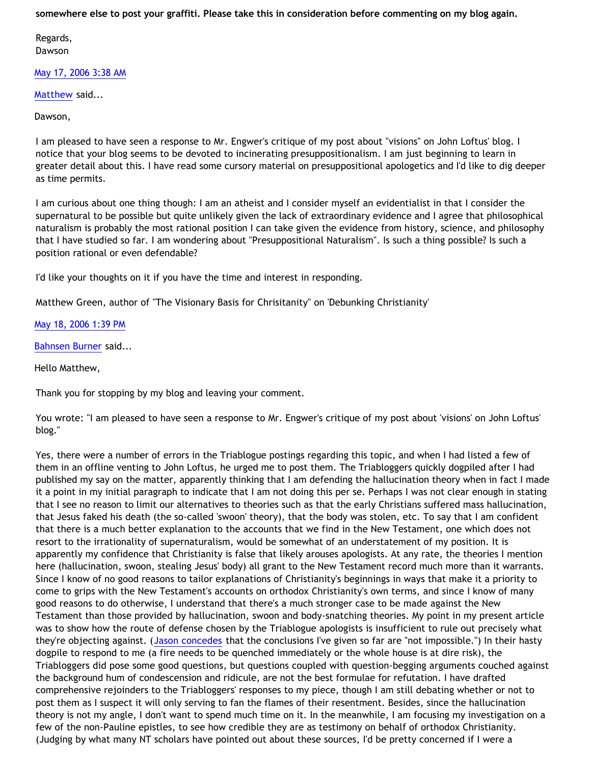**somewhere else to post your graffiti. Please take this in consideration before commenting on my blog again.**

Regards, Dawson

[May 17, 2006 3:38 AM](http://bahnsenburner.blogspot.com/2006/05/114786233278719093)

[Matthew](http://www.blogger.com/profile/18984146) said...

Dawson,

I am pleased to have seen a response to Mr. Engwer's critique of my post about "visions" on John Loftus' blog. I notice that your blog seems to be devoted to incinerating presuppositionalism. I am just beginning to learn in greater detail about this. I have read some cursory material on presuppositional apologetics and I'd like to dig deeper as time permits.

I am curious about one thing though: I am an atheist and I consider myself an evidentialist in that I consider the supernatural to be possible but quite unlikely given the lack of extraordinary evidence and I agree that philosophical naturalism is probably the most rational position I can take given the evidence from history, science, and philosophy that I have studied so far. I am wondering about "Presuppositional Naturalism". Is such a thing possible? Is such a position rational or even defendable?

I'd like your thoughts on it if you have the time and interest in responding.

Matthew Green, author of "The Visionary Basis for Chrisitanity" on 'Debunking Christianity'

[May 18, 2006 1:39 PM](http://bahnsenburner.blogspot.com/2006/05/114798478487156573)

[Bahnsen Burner](http://www.blogger.com/profile/7766918) said...

Hello Matthew,

Thank you for stopping by my blog and leaving your comment.

You wrote: "I am pleased to have seen a response to Mr. Engwer's critique of my post about 'visions' on John Loftus' blog."

Yes, there were a number of errors in the Triablogue postings regarding this topic, and when I had listed a few of them in an offline venting to John Loftus, he urged me to post them. The Triabloggers quickly dogpiled after I had published my say on the matter, apparently thinking that I am defending the hallucination theory when in fact I made it a point in my initial paragraph to indicate that I am not doing this per se. Perhaps I was not clear enough in stating that I see no reason to limit our alternatives to theories such as that the early Christians suffered mass hallucination, that Jesus faked his death (the so-called 'swoon' theory), that the body was stolen, etc. To say that I am confident that there is a much better explanation to the accounts that we find in the New Testament, one which does not resort to the irrationality of supernaturalism, would be somewhat of an understatement of my position. It is apparently my confidence that Christianity is false that likely arouses apologists. At any rate, the theories I mention here (hallucination, swoon, stealing Jesus' body) all grant to the New Testament record much more than it warrants. Since I know of no good reasons to tailor explanations of Christianity's beginnings in ways that make it a priority to come to grips with the New Testament's accounts on orthodox Christianity's own terms, and since I know of many good reasons to do otherwise, I understand that there's a much stronger case to be made against the New Testament than those provided by hallucination, swoon and body-snatching theories. My point in my present article was to show how the route of defense chosen by the Triablogue apologists is insufficient to rule out precisely what they're objecting against. ([Jason concedes](http://triablogue.blogspot.com/2006/05/dawson-bethricks-not-impossible.html) that the conclusions I've given so far are "not impossible.") In their hasty dogpile to respond to me (a fire needs to be quenched immediately or the whole house is at dire risk), the Triabloggers did pose some good questions, but questions coupled with question-begging arguments couched against the background hum of condescension and ridicule, are not the best formulae for refutation. I have drafted comprehensive rejoinders to the Triabloggers' responses to my piece, though I am still debating whether or not to post them as I suspect it will only serving to fan the flames of their resentment. Besides, since the hallucination theory is not my angle, I don't want to spend much time on it. In the meanwhile, I am focusing my investigation on a few of the non-Pauline epistles, to see how credible they are as testimony on behalf of orthodox Christianity. (Judging by what many NT scholars have pointed out about these sources, I'd be pretty concerned if I were a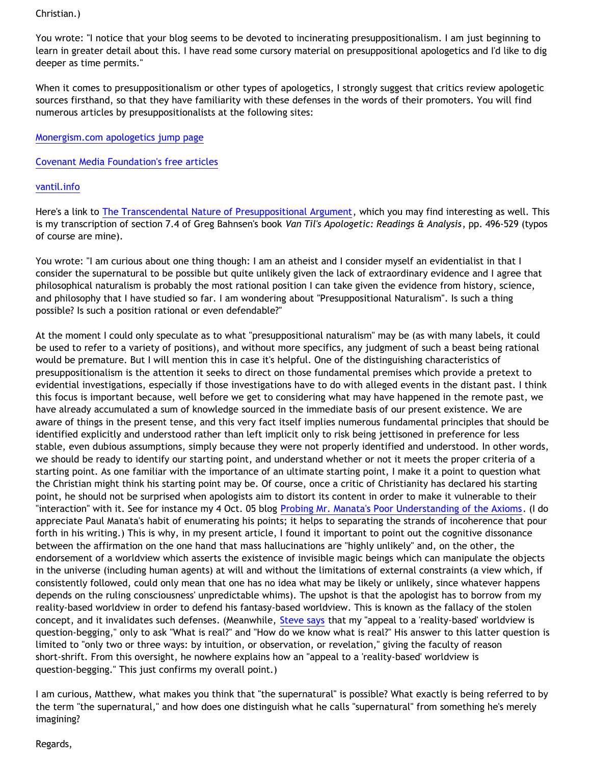# Christian.)

You wrote: "I notice that your blog seems to be devoted to incinerating presuppositionalism. I am just beginning to learn in greater detail about this. I have read some cursory material on presuppositional apologetics and I'd like to dig deeper as time permits."

When it comes to presuppositionalism or other types of apologetics, I strongly suggest that critics review apologetic sources firsthand, so that they have familiarity with these defenses in the words of their promoters. You will find numerous articles by presuppositionalists at the following sites:

# [Monergism.com apologetics jump page](http://www.monergism.com/thethreshold/articles/topic/apologetics.html)

[Covenant Media Foundation's free articles](http://www.cmfnow.com/index.asp?PageAction=Custom&ID=8)

# [vantil.info](http://vantil.info/)

Here's a link to [The Transcendental Nature of Presuppositional Argument,](http://www.geocities.com/katholon/VTARR74TNPA.htm) which you may find interesting as well. This is my transcription of section 7.4 of Greg Bahnsen's book *Van Til's Apologetic: Readings & Analysis*, pp. 496-529 (typos of course are mine).

You wrote: "I am curious about one thing though: I am an atheist and I consider myself an evidentialist in that I consider the supernatural to be possible but quite unlikely given the lack of extraordinary evidence and I agree that philosophical naturalism is probably the most rational position I can take given the evidence from history, science, and philosophy that I have studied so far. I am wondering about "Presuppositional Naturalism". Is such a thing possible? Is such a position rational or even defendable?"

At the moment I could only speculate as to what "presuppositional naturalism" may be (as with many labels, it could be used to refer to a variety of positions), and without more specifics, any judgment of such a beast being rational would be premature. But I will mention this in case it's helpful. One of the distinguishing characteristics of presuppositionalism is the attention it seeks to direct on those fundamental premises which provide a pretext to evidential investigations, especially if those investigations have to do with alleged events in the distant past. I think this focus is important because, well before we get to considering what may have happened in the remote past, we have already accumulated a sum of knowledge sourced in the immediate basis of our present existence. We are aware of things in the present tense, and this very fact itself implies numerous fundamental principles that should be identified explicitly and understood rather than left implicit only to risk being jettisoned in preference for less stable, even dubious assumptions, simply because they were not properly identified and understood. In other words, we should be ready to identify our starting point, and understand whether or not it meets the proper criteria of a starting point. As one familiar with the importance of an ultimate starting point, I make it a point to question what the Christian might think his starting point may be. Of course, once a critic of Christianity has declared his starting point, he should not be surprised when apologists aim to distort its content in order to make it vulnerable to their "interaction" with it. See for instance my 4 Oct. 05 blog [Probing Mr. Manata's Poor Understanding of the Axioms.](http://bahnsenburner.blogspot.com/2005/10/probing-mr-manatas-poor-understanding.html) (I do appreciate Paul Manata's habit of enumerating his points; it helps to separating the strands of incoherence that pour forth in his writing.) This is why, in my present article, I found it important to point out the cognitive dissonance between the affirmation on the one hand that mass hallucinations are "highly unlikely" and, on the other, the endorsement of a worldview which asserts the existence of invisible magic beings which can manipulate the objects in the universe (including human agents) at will and without the limitations of external constraints (a view which, if consistently followed, could only mean that one has no idea what may be likely or unlikely, since whatever happens depends on the ruling consciousness' unpredictable whims). The upshot is that the apologist has to borrow from my reality-based worldview in order to defend his fantasy-based worldview. This is known as the fallacy of the stolen concept, and it invalidates such defenses. (Meanwhile, [Steve says](http://triablogue.blogspot.com/2006/05/beckthrick-in-his-little-box.html) that my "appeal to a 'reality-based' worldview is question-begging," only to ask "What is real?" and "How do we know what is real?" His answer to this latter question is limited to "only two or three ways: by intuition, or observation, or revelation," giving the faculty of reason short-shrift. From this oversight, he nowhere explains how an "appeal to a 'reality-based' worldview is question-begging." This just confirms my overall point.)

I am curious, Matthew, what makes you think that "the supernatural" is possible? What exactly is being referred to by the term "the supernatural," and how does one distinguish what he calls "supernatural" from something he's merely imagining?